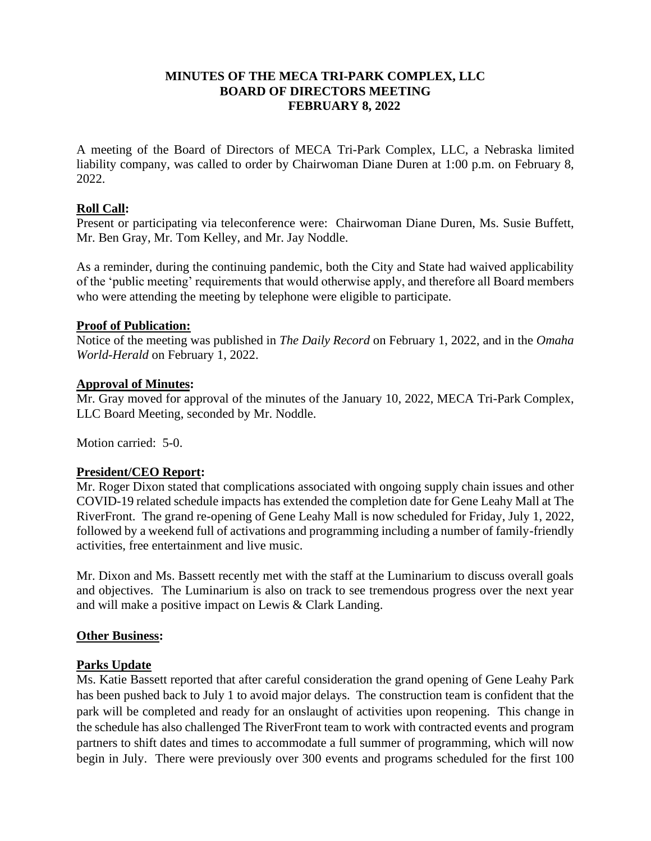## **MINUTES OF THE MECA TRI-PARK COMPLEX, LLC BOARD OF DIRECTORS MEETING FEBRUARY 8, 2022**

A meeting of the Board of Directors of MECA Tri-Park Complex, LLC, a Nebraska limited liability company, was called to order by Chairwoman Diane Duren at 1:00 p.m. on February 8, 2022.

## **Roll Call:**

Present or participating via teleconference were: Chairwoman Diane Duren, Ms. Susie Buffett, Mr. Ben Gray, Mr. Tom Kelley, and Mr. Jay Noddle.

As a reminder, during the continuing pandemic, both the City and State had waived applicability of the 'public meeting' requirements that would otherwise apply, and therefore all Board members who were attending the meeting by telephone were eligible to participate.

### **Proof of Publication:**

Notice of the meeting was published in *The Daily Record* on February 1, 2022, and in the *Omaha World-Herald* on February 1, 2022.

### **Approval of Minutes:**

Mr. Gray moved for approval of the minutes of the January 10, 2022, MECA Tri-Park Complex, LLC Board Meeting, seconded by Mr. Noddle.

Motion carried: 5-0.

### **President/CEO Report:**

Mr. Roger Dixon stated that complications associated with ongoing supply chain issues and other COVID-19 related schedule impacts has extended the completion date for Gene Leahy Mall at The RiverFront. The grand re-opening of Gene Leahy Mall is now scheduled for Friday, July 1, 2022, followed by a weekend full of activations and programming including a number of family-friendly activities, free entertainment and live music.

Mr. Dixon and Ms. Bassett recently met with the staff at the Luminarium to discuss overall goals and objectives. The Luminarium is also on track to see tremendous progress over the next year and will make a positive impact on Lewis & Clark Landing.

### **Other Business:**

# **Parks Update**

Ms. Katie Bassett reported that after careful consideration the grand opening of Gene Leahy Park has been pushed back to July 1 to avoid major delays. The construction team is confident that the park will be completed and ready for an onslaught of activities upon reopening. This change in the schedule has also challenged The RiverFront team to work with contracted events and program partners to shift dates and times to accommodate a full summer of programming, which will now begin in July. There were previously over 300 events and programs scheduled for the first 100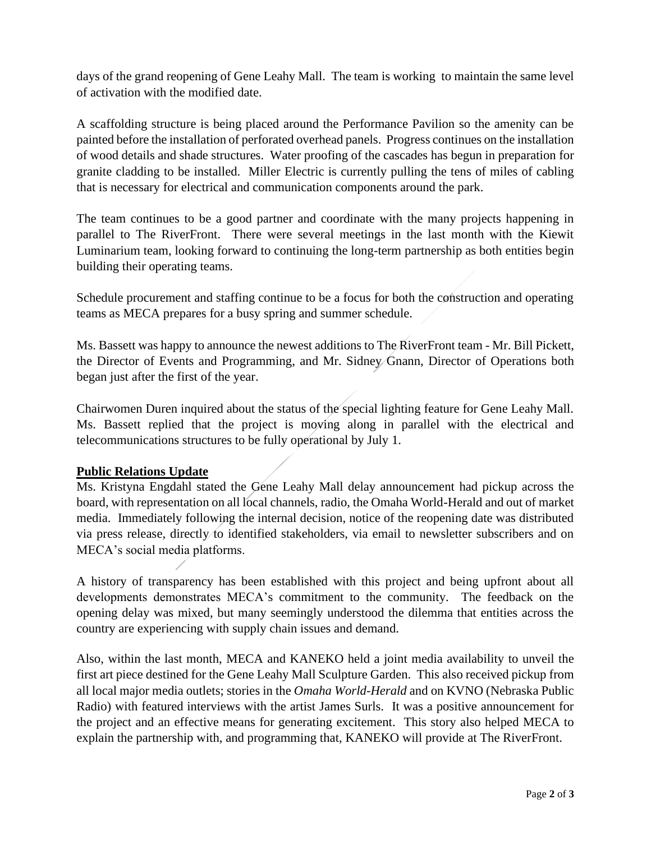days of the grand reopening of Gene Leahy Mall. The team is working to maintain the same level of activation with the modified date.

A scaffolding structure is being placed around the Performance Pavilion so the amenity can be painted before the installation of perforated overhead panels. Progress continues on the installation of wood details and shade structures. Water proofing of the cascades has begun in preparation for granite cladding to be installed. Miller Electric is currently pulling the tens of miles of cabling that is necessary for electrical and communication components around the park.

The team continues to be a good partner and coordinate with the many projects happening in parallel to The RiverFront. There were several meetings in the last month with the Kiewit Luminarium team, looking forward to continuing the long-term partnership as both entities begin building their operating teams.

Schedule procurement and staffing continue to be a focus for both the construction and operating teams as MECA prepares for a busy spring and summer schedule.

Ms. Bassett was happy to announce the newest additions to The RiverFront team - Mr. Bill Pickett, the Director of Events and Programming, and Mr. Sidney Gnann, Director of Operations both began just after the first of the year.

Chairwomen Duren inquired about the status of the special lighting feature for Gene Leahy Mall. Ms. Bassett replied that the project is moving along in parallel with the electrical and telecommunications structures to be fully operational by July 1.

# **Public Relations Update**

Ms. Kristyna Engdahl stated the Gene Leahy Mall delay announcement had pickup across the board, with representation on all local channels, radio, the Omaha World-Herald and out of market media. Immediately following the internal decision, notice of the reopening date was distributed via press release, directly to identified stakeholders, via email to newsletter subscribers and on MECA's social media platforms.

A history of transparency has been established with this project and being upfront about all developments demonstrates MECA's commitment to the community. The feedback on the opening delay was mixed, but many seemingly understood the dilemma that entities across the country are experiencing with supply chain issues and demand.

Also, within the last month, MECA and KANEKO held a joint media availability to unveil the first art piece destined for the Gene Leahy Mall Sculpture Garden. This also received pickup from all local major media outlets; stories in the *Omaha World-Herald* and on KVNO (Nebraska Public Radio) with featured interviews with the artist James Surls. It was a positive announcement for the project and an effective means for generating excitement. This story also helped MECA to explain the partnership with, and programming that, KANEKO will provide at The RiverFront.